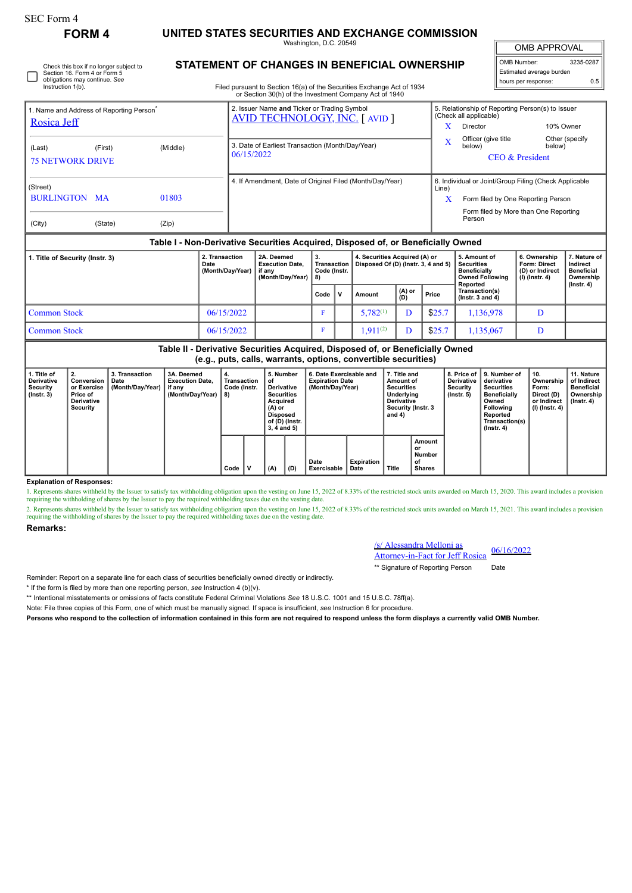Check this box if no longer subject to Section 16. Form 4 or Form 5 obligations may continue. *See* Instruction 1(b).

**FORM 4 UNITED STATES SECURITIES AND EXCHANGE COMMISSION** Washington, D.C. 20549

OMB APPROVAL

 $\sqrt{ }$ 

| OMB Number:              | 3235-0287 |  |  |  |  |  |  |
|--------------------------|-----------|--|--|--|--|--|--|
| Estimated average burden |           |  |  |  |  |  |  |
| hours per response:      | 0.5       |  |  |  |  |  |  |

Filed pursuant to Section 16(a) of the Securities Exchange Act of 1934<br>
or Section 30(b) of the Investment Company Act of 1940  $\frac{1}{2}$ 

**STATEMENT OF CHANGES IN BENEFICIAL OWNERSHIP**

| 0. Occupii oolii) of the inveganchit company Act of 1040                         |         |          |                                                                                      |                                                                            |                                                       |                          |  |  |  |  |  |
|----------------------------------------------------------------------------------|---------|----------|--------------------------------------------------------------------------------------|----------------------------------------------------------------------------|-------------------------------------------------------|--------------------------|--|--|--|--|--|
| Name and Address of Reporting Person<br>Rosica Jeff                              |         |          | 2. Issuer Name and Ticker or Trading Symbol<br><b>AVID TECHNOLOGY, INC. [ AVID ]</b> | 5. Relationship of Reporting Person(s) to Issuer<br>(Check all applicable) |                                                       |                          |  |  |  |  |  |
|                                                                                  |         |          |                                                                                      | x                                                                          | Director                                              | 10% Owner                |  |  |  |  |  |
| (Last)<br><b>75 NETWORK DRIVE</b>                                                | (First) | (Middle) | 3. Date of Earliest Transaction (Month/Day/Year)<br>06/15/2022                       | X                                                                          | Officer (give title<br>below)<br>CEO & President      | Other (specify<br>below) |  |  |  |  |  |
| (Street)                                                                         |         |          | 4. If Amendment, Date of Original Filed (Month/Day/Year)                             | Line)                                                                      | 6. Individual or Joint/Group Filing (Check Applicable |                          |  |  |  |  |  |
| BURLINGTON MA                                                                    |         | 01803    |                                                                                      | Х                                                                          | Form filed by One Reporting Person                    |                          |  |  |  |  |  |
| (City)                                                                           | (State) | (Zip)    |                                                                                      |                                                                            | Form filed by More than One Reporting<br>Person       |                          |  |  |  |  |  |
| Table I - Non-Derivative Securities Acquired, Disposed of, or Beneficially Owned |         |          |                                                                                      |                                                                            |                                                       |                          |  |  |  |  |  |

| 1. Title of Security (Instr. 3) | 2. Transaction<br>Date<br>(Month/Day/Year) | 2A. Deemed<br><b>Execution Date.</b><br>∣if anv<br>(Month/Dav/Year)   8) | З.<br><b>Transaction</b><br>Code (Instr. |              | 4. Securities Acquired (A) or<br>Disposed Of (D) (lnstr. 3, 4 and 5) |                 | 5. Amount of<br>Securities<br><b>Beneficially</b><br>Owned Following<br>Reported | 6. Ownership<br>Form: Direct<br>(D) or Indirect<br>(I) (Instr. 4) | 7. Nature of<br>Indirect<br><b>Beneficial</b><br>Ownership<br>(Instr. 4) |  |
|---------------------------------|--------------------------------------------|--------------------------------------------------------------------------|------------------------------------------|--------------|----------------------------------------------------------------------|-----------------|----------------------------------------------------------------------------------|-------------------------------------------------------------------|--------------------------------------------------------------------------|--|
|                                 |                                            |                                                                          | Code                                     | $\mathbf{v}$ | Amount                                                               | ∣ (A) or<br>(D) | Price                                                                            | Transaction(s)<br>( $lnstr. 3 and 4$ )                            |                                                                          |  |
| <b>Common Stock</b>             | 06/15/2022                                 |                                                                          |                                          |              | $5,782^{(1)}$                                                        |                 | \$25.7                                                                           | 1,136,978                                                         |                                                                          |  |
| <b>Common Stock</b>             | 06/15/2022                                 |                                                                          | u                                        |              | $.911^{(2)}$                                                         |                 | \$25.7                                                                           | 1,135,067                                                         |                                                                          |  |

**Table II - Derivative Securities Acquired, Disposed of, or Beneficially Owned (e.g., puts, calls, warrants, options, convertible securities)**

| 1. Title of<br><b>Derivative</b><br>Security<br>(Instr. 3) | 2.<br>Conversion<br>or Exercise<br>Price of<br><b>Derivative</b><br><b>Security</b> | 3. Transaction<br>Date<br>(Month/Day/Year) | 3A. Deemed<br><b>Execution Date.</b><br>if any<br>(Month/Day/Year) | 4.<br>Transaction<br>Code (Instr.<br>8) | 5. Number<br>οf<br><b>Derivative</b><br><b>Securities</b><br>Acquired<br>(A) or<br>Disposed<br>of (D) (Instr.<br>$3.4$ and $5)$ |         | 6. Date Exercisable and<br><b>Expiration Date</b><br>(Month/Day/Year) |                    | 7. Title and<br>Amount of<br><b>Securities</b><br>Underlying<br>Derivative<br>Security (Instr. 3<br>and 4) |                                               | 8. Price of<br><b>Derivative</b><br>Security<br>(Instr. 5) | I 9. Number of<br>derivative<br><b>Securities</b><br><b>Beneficially</b><br>Owned<br>Following<br>Reported<br>Transaction(s)<br>(Instr. 4) | ່ 10.<br>Ownership<br>Form:<br>Direct (D)<br>or Indirect<br>$(l)$ (lnstr. 4) | 11. Nature<br>of Indirect<br><b>Beneficial</b><br>Ownership<br>$($ lnstr. 4 $)$ |
|------------------------------------------------------------|-------------------------------------------------------------------------------------|--------------------------------------------|--------------------------------------------------------------------|-----------------------------------------|---------------------------------------------------------------------------------------------------------------------------------|---------|-----------------------------------------------------------------------|--------------------|------------------------------------------------------------------------------------------------------------|-----------------------------------------------|------------------------------------------------------------|--------------------------------------------------------------------------------------------------------------------------------------------|------------------------------------------------------------------------------|---------------------------------------------------------------------------------|
|                                                            |                                                                                     |                                            |                                                                    | Code                                    | (A)                                                                                                                             | $ $ (D) | Date<br>Exercisable                                                   | Expiration<br>Date | Title                                                                                                      | Amount<br>or<br>Number<br>οf<br><b>Shares</b> |                                                            |                                                                                                                                            |                                                                              |                                                                                 |

**Explanation of Responses:**

1. Represents shares withheld by the Issuer to satisfy tax withholding obligation upon the vesting on June 15, 2022 of 8.33% of the restricted stock units awarded on March 15, 2020. This award includes a provision requiring the withholding of shares by the Issuer to pay the required withholding taxes due on the vesting date.

2. Represents shares withheld by the Issuer to satisfy tax withholding obligation upon the vesting on June 15, 2022 of 8.33% of the restricted stock units awarded on March 15, 2021. This award includes a provision requiring the withholding of shares by the Issuer to pay the required withholding taxes due on the vesting date.

## **Remarks:**

## /s/ Alessandra Melloni as **Attorney-in-Fact for Jeff Rosica** 06/16/2022

\*\* Signature of Reporting Person Date

Reminder: Report on a separate line for each class of securities beneficially owned directly or indirectly.

\* If the form is filed by more than one reporting person, *see* Instruction 4 (b)(v).

\*\* Intentional misstatements or omissions of facts constitute Federal Criminal Violations *See* 18 U.S.C. 1001 and 15 U.S.C. 78ff(a).

Note: File three copies of this Form, one of which must be manually signed. If space is insufficient, *see* Instruction 6 for procedure.

**Persons who respond to the collection of information contained in this form are not required to respond unless the form displays a currently valid OMB Number.**